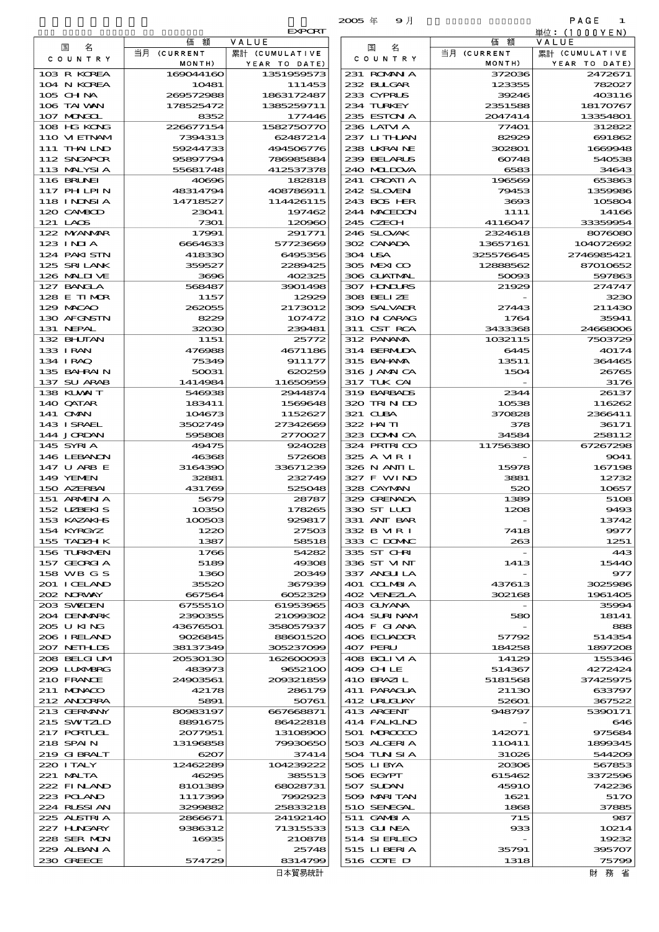|                             |                        |                          | $2005 \text{ } \#$<br>9月    |                       | PAGE<br>1               |
|-----------------------------|------------------------|--------------------------|-----------------------------|-----------------------|-------------------------|
|                             |                        | <b>EXPORT</b>            |                             |                       | 単位: (1000 Y E N)        |
| 名<br>国                      | 価<br>額<br>当月 (CURRENT  | VALUE<br>累計 (CUMULATIVE  | 名<br>国                      | 価<br>額<br>当月 (CURRENT | VALUE<br>累計 (CUMULATIVE |
| C O U N T R Y               | MONTH)                 | YEAR TO DATE)            | C O U N T R Y               | MONTH)                | YEAR TO DATE)           |
| 103 R KOREA                 | 169044160              | 1351959573               | 231 ROMNA                   | 372036                | 2472671                 |
| 104 N KOREA                 | 10481                  | 111453                   | 232 BULGAR                  | 123355                | 782027                  |
| 105 CHNA<br>106 TAI WAN     | 260572988<br>178525472 | 1863172487<br>1385259711 | 233 CYPRUS<br>234 TURKEY    | 39246<br>2351588      | 403116<br>18170767      |
| 107 MONGOL                  | 8352                   | 177446                   | 235 ESTON A                 | 2047414               | 13354801                |
| 108 HG KONG                 | 226677154              | 1582750770               | 236 LATM A                  | 77401                 | 312822                  |
| 110 VIETNAM                 | 7394313                | 62487214                 | 237 LITHLAN                 | 82929                 | 691862                  |
| 111 THAILND<br>112 SNGAPOR  | 59244733<br>95897794   | 494506776<br>780085884   | 238 UKRAINE<br>239 BELARUS  | 302801<br>60748       | 1669948<br>540538       |
| 113 MALYSIA                 | 55681748               | 412537378                | 240 MIDOVA                  | 6583                  | 34643                   |
| 116 BRUNEI                  | 40696                  | 182818                   | 241 CROATIA                 | 196569                | 653863                  |
| 117 PHLPIN                  | 48314794               | 408786911                | 242 SLOVEN                  | 79453                 | 1359986                 |
| 118 I NDNSI A<br>120 CAMBOD | 14718527               | 114426115<br>197462      | 243 BOS HER<br>244 MACEDON  | 3693                  | 105804<br>14166         |
| 121 LAOS                    | 23041<br>7301          | 120960                   | 245 CZECH                   | 1111<br>4116047       | 33359954                |
| 122 MYANAR                  | 17991                  | 291771                   | 246 SLOVAK                  | 2324618               | 8076080                 |
| 123 INJA                    | 6664633                | 57723669                 | 302 CANADA                  | 13657161              | 104072692               |
| 124 PAKI STN                | 418330                 | 6495356                  | 304 USA                     | 325576645             | 2746985421              |
| 125 SRILANK<br>126 MALINE   | 359527<br>3696         | 2289425<br>402325        | 305 MEXICO<br>306 GUATMAL   | 12888562<br>50093     | 87010652<br>597863      |
| 127 BANCLA                  | 568487                 | 3901498                  | 307 HODURS                  | 21929                 | 274747                  |
| 128 E TIMOR                 | 1157                   | 12929                    | 308 BELIZE                  |                       | 3230                    |
| 129 MACAO                   | 262055                 | 2173012                  | 309 SALVADR                 | 27443                 | 211430                  |
| 130 AFGNSTN<br>131 NEPAL    | 8229<br>32030          | 107472<br>239481         | 310 N CARAG<br>311 CST RCA  | 1764<br>3433368       | 35941<br>24668006       |
| 132 BHUTAN                  | 1151                   | 25772                    | 312 PANAMA                  | 1032115               | 7503729                 |
| 133 IRAN                    | 476988                 | 4671186                  | 314 BERMIDA                 | 6445                  | 40174                   |
| 134 I RAQ                   | 75349                  | 911177                   | 315 BAHAMA                  | 13511                 | 364465                  |
| 135 BAHRAIN<br>137 SU ARAB  | 50031<br>1414984       | 620259<br>11650959       | 316 JAMAICA<br>317 TUK CAI  | 1504                  | 26765<br>3176           |
| 138 KUWAIT                  | 546938                 | 2944874                  | 319 BARBADS                 | 2344                  | 26137                   |
| 140 QATAR                   | 183411                 | 1569648                  | 320 TRINDO                  | 10538                 | 116262                  |
| 141 OMN                     | 104673                 | 1152627                  | 321 CUBA                    | 370828                | 2366411                 |
| 143 ISRAEL<br>144 JORDAN    | 3502749<br>595808      | 27342669<br>2770027      | 322 HAITI<br>323 DOMNICA    | 378<br>34584          | 36171<br>258112         |
| 145 SYRIA                   | 49475                  | 924028                   | 324 PRIRICO                 | 11756380              | 67267298                |
| 146 LEBANON                 | 46368                  | 572608                   | 325 A MR I                  |                       | 9041                    |
| 147 U ARB E                 | 3164390                | 33671239                 | 326 N ANII L                | 15978                 | 167198                  |
| 149 YEMEN                   | 32881<br>431769        | 232749                   | 327 F WIND<br>328 CAYMAN    | 3881                  | 12732                   |
| 150 AZERBAI<br>151 ARMENIA  | 5679                   | 525048<br>28787          | 329 GRENADA                 | 520<br>1389           | 10657<br>5108           |
| 152 UZBEKIS                 | 10350                  | 178265                   | 330 ST LLCI                 | 1208                  | 9493                    |
| 153 KAZAKI-IS               | 100503                 | 929817                   | 331 ANT BAR                 |                       | 13742                   |
| 154 KYRGYZ                  | 1220<br>1387           | 27503<br>58518           | 332 B MR I<br>333 C DOMAC   | 7418                  | 9977<br>1251            |
| 155 TADZH K<br>156 TURKMEN  | 1766                   | 54282                    | 335 ST CHRI                 | 263                   | 443                     |
| 157 GEORGIA                 | 5189                   | 49308                    | 336 ST VINT                 | 1413                  | 15440                   |
| 158 WB G S                  | 1360                   | 20349                    | 337 ANGLILA                 |                       | 977                     |
| 201 I CELAND<br>202 NORWAY  | 35520<br>667564        | 367939<br>6052329        | 401 COLMBIA<br>402 VENEZLA  | 437613<br>302168      | 3025986<br>1961405      |
| 203 SWIDEN                  | 6755510                | 61953965                 | 403 GUYANA                  |                       | 35994                   |
| 204 DENMARK                 | 2390355                | 21099302                 | 404 SURINAM                 | 580                   | 18141                   |
| 205 U KING                  | 43676501               | 358057937                | 405 F GIANA                 |                       | 888                     |
| 206 I RELAND<br>207 NETHLIS | 9026845<br>38137349    | 88601520<br>305237099    | 406 ECUADOR<br>407 PERU     | 57792<br>184258       | 514354<br>1897208       |
| 208 BELGI UM                | 20530130               | 162600093                | 408 BOLI VI A               | 14129                 | 155346                  |
| 2009 LUNABRG                | 483973                 | 9652100                  | 409 CH LE                   | 514367                | 4272424                 |
| 210 FRANCE                  | 24903561               | 200321859                | 410 BRAZIL                  | 5181568               | 37425975                |
| 211 MUNACO<br>212 ANDORRA   | 42178<br>5891          | 286179<br>50761          | 411 PARAGUA<br>412 URUCLAY  | 21130<br>52601        | 633797<br>367522        |
| 213 GERMANY                 | 80983197               | 667668871                | 413 ARGENT                  | 948797                | 5390171                 |
| 215 SWIZLD                  | 8891675                | 86422818                 | 414 FALKLND                 |                       | 646                     |
| 217 PORTUGL                 | 2077951                | 13108900                 | 501 MROCCO                  | 142071                | 975684                  |
| 218 SPAIN<br>219 GIBRALT    | 13196858<br>6207       | 79930650<br>37414        | 503 ALGERIA<br>504 TUN SI A | 110411<br>31026       | 1899345<br>544209       |
| 220 I TALY                  | 12462289               | 104239222                | 505 LIBYA                   | 20306                 | 567853                  |
| 221 MALTA                   | 46295                  | 385513                   | 506 EGYPT                   | 615462                | 3372596                 |
| 222 FINAND                  | 8101389                | 68028731                 | 507 SUDAN                   | <b>45910</b>          | 742236                  |
| 223 POLAND<br>224 RUSSI AN  | 1117399<br>3299882     | 7992923<br>25833218      | 509 MARITAN<br>510 SENEGAL  | 1621<br>1868          | 5170<br>37885           |
| 225 ALSTRIA                 | 2866671                | 24192140                 | 511 GAMBIA                  | 715                   | 987                     |
| 227 H.NGARY                 | 9386312                | 71315533                 | 513 GUNEA                   | 933                   | 10214                   |
| 228 SER MON                 | 16935                  | 210878                   | 514 SIERLEO                 |                       | 19232                   |
| 229 ALBAN A<br>230 GREECE   | 574729                 | 25748<br>8314799         | 515 LIBERTA<br>516 CONE D   | 35791<br>1318         | 395707<br>75799         |
|                             |                        |                          |                             |                       |                         |

| 国<br>名                       | 価額                   | VALUE                       |
|------------------------------|----------------------|-----------------------------|
| COUNTRY                      | 当月 (CURRENT          | 累計 (CUMULATIVE              |
| 103 R KOREA                  | MONTH)<br>169044160  | YEAR TO DATE)<br>1351959573 |
| 104 N KOREA                  | 10481                | 111453                      |
| 105 CHNA                     | 260572988            | 1863172487                  |
| 106 TAI VAN                  | 178525472            | 1385259711                  |
| 107 MONGOL                   | 8352                 | 177446                      |
| 108 HG KONG<br>110 VIEINAM   | 226677154<br>7394313 | 1582750770<br>62487214      |
| 111 THAI LND                 | 59244733             | 494506776                   |
| 112 SNGAPOR                  | 95897794             | 786985884                   |
| 113 MALYSIA                  | 55681748             | 412537378                   |
| <b>116 BRUNEI</b>            | 40696                | 182818                      |
| 117 PH LPIN                  | 48314794             | 408786911                   |
| 118 INNSIA                   | 14718527             | 114426115                   |
| 120 CAMBOD<br>121 LAOS       | 23041<br>7301        | 197462<br>120000            |
| 122 NYANAR                   | 17991                | 291771                      |
| $123$ INIA                   | 6664633              | 5772366                     |
| 124 PAKI STN                 | 418330               | 6495356                     |
| 125 SRILANK                  | 359527               | 2289425                     |
| 126 MAIDIVE                  | 3696                 | 402325                      |
| 127 BANCLA<br>128 E TIMOR    | 568487<br>1157       | 3901496<br>12929            |
| 129 MACAO                    | 262055               | 2173012                     |
| 130 AFGNSTN                  | 8229                 | 107472                      |
| 131 NEPAL                    | 32030                | 239481                      |
| 132 BHUTAN                   | 1151                 | 25772                       |
| 133 IRAN                     | 476988               | 4671186                     |
| 134 IRAQ                     | 75349                | 911177                      |
| 135 BAHRAIN<br>137 SU ARAB   | 50031<br>1414984     | 620259<br>11650959          |
| 138 KUWAIT                   | 546938               | 2944874                     |
| 140 QATAR                    | 183411               | 1569648                     |
| 141 OMN                      | 104673               | 1152627                     |
| 143 ISRAEL                   | 3502749              | 2734266                     |
| 144 JORDAN                   | 595808               | 2770027                     |
| 145 SYRIA<br>146 LEBANON     | 49475<br>46368       | 924028<br>572606            |
| 147 U ARB E                  | 3164390              | 33671239                    |
| <b>149 YEMEN</b>             | 32881                | 232749                      |
| 150 AZERBAI                  | 431769               | 525048                      |
| 151 ARMENIA                  | 5679                 | 28787                       |
| 152 UZBEKIS<br>153 KAZAKI B  | 10350<br>100503      | 178265                      |
| 154 KYRGYZ                   | 1220                 | 929817<br>27500             |
| 155 TADZH K                  | 1387                 | 58518                       |
| 156 TURKMEN                  | 1766                 | 54282                       |
| 157 GEORGIA                  | 5189                 | 49306                       |
| 158 WB G S                   | 1360                 | 20349                       |
| 201 I CELAND                 | 35520                | 367939                      |
| 202 NORWAY<br>203 SWIEN      | 667564<br>6755510    | 6052329<br>61953965         |
| 204 DENMARK                  | 2390355              | 21099302                    |
| 205 U KING                   | 43676501             | 358057937                   |
| 206 IRELAND                  | 9026845              | 88601520                    |
| 207 NETHLIS                  | 38137349             | 305237006                   |
| 208 BELGI UM<br>2009 LUXMBRG | 20530130<br>483973   | 162600000<br>9652100        |
| 210 FRANCE                   | 24903561             | 200321859                   |
| $211$ MINACO                 | 42178                | 286179                      |
| 212 ANDORRA                  | 5891                 | 50761                       |
| 213 GERMANY                  | 80983197             | 667668871                   |
| 215 SWIZLD                   | 8891675              | 86422818                    |
| 217 PORTUGL                  | 2077951              | 13108900                    |
| 218 SPAIN<br>219 GIBRALT     | 13196858<br>6207     | 79930650<br>37414           |
| 220 I TALY                   | 12462289             | 104239222                   |
| 221 MALTA                    | 46295                | 385513                      |
| 222 FINAND                   | 8101389              | 68028731                    |
| 223 POLAND                   | 1117399              | 7992923                     |
| 224 RLSSIAN                  | 3299882              | 25833218                    |
| 225 ALSTRIA                  | 2866671              | 24192140                    |
| 227 HNGARY<br>228 SER NON    | 9386312<br>16935     | 71315533<br>210878          |
| 229 ALBAN A                  |                      | 25748                       |
| 230 GREECE                   | 574729               | 8314799                     |
|                              |                      | 日本貿易統計                      |

財務省